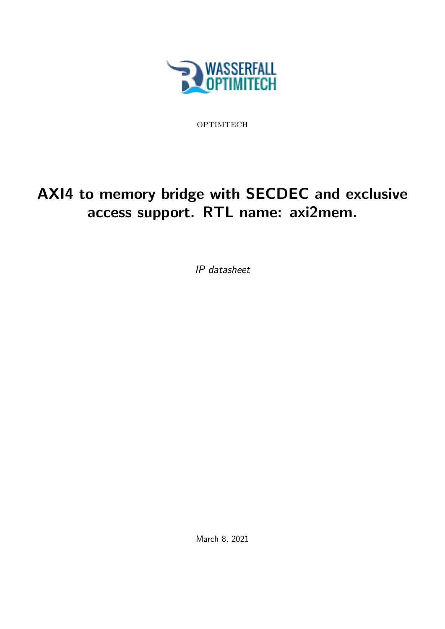

OPTIMTECH

# AXI4 to memory bridge with SECDEC and exclusive access support. RTL name: axi2mem.

IP datasheet

March 8, 2021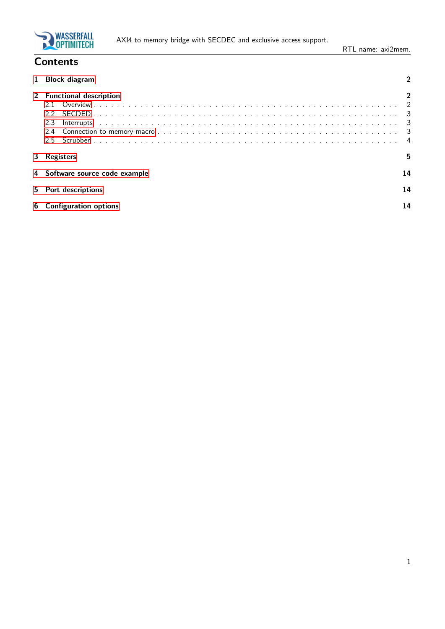

## **Contents**

|    | <b>Block diagram</b>           |    |
|----|--------------------------------|----|
|    | 2 Functional description       |    |
|    |                                |    |
|    |                                |    |
|    | 2.3                            |    |
|    | 2.4                            |    |
|    | 2.5                            |    |
| 3. | Registers                      | 5  |
|    | 4 Software source code example | 14 |
|    | 5 Port descriptions            | 14 |
| 6  | <b>Configuration options</b>   | 14 |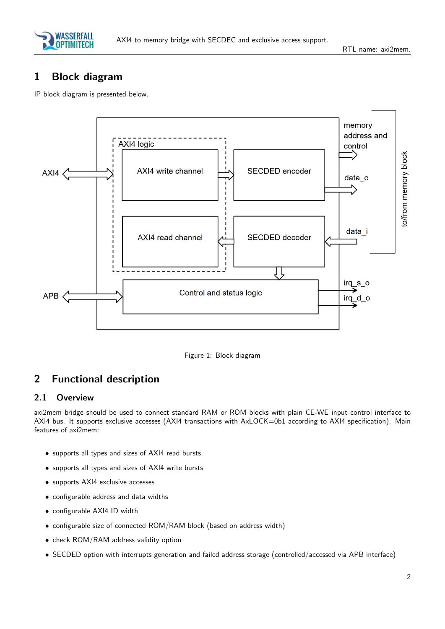

## <span id="page-2-0"></span>1 Block diagram

IP block diagram is presented below.





## <span id="page-2-1"></span>2 Functional description

#### <span id="page-2-2"></span>2.1 Overview

axi2mem bridge should be used to connect standard RAM or ROM blocks with plain CE-WE input control interface to AXI4 bus. It supports exclusive accesses (AXI4 transactions with AxLOCK=0b1 according to AXI4 specification). Main features of axi2mem:

- supports all types and sizes of AXI4 read bursts
- supports all types and sizes of AXI4 write bursts
- supports AXI4 exclusive accesses
- configurable address and data widths
- configurable AXI4 ID width
- configurable size of connected ROM/RAM block (based on address width)
- check ROM/RAM address validity option
- SECDED option with interrupts generation and failed address storage (controlled/accessed via APB interface)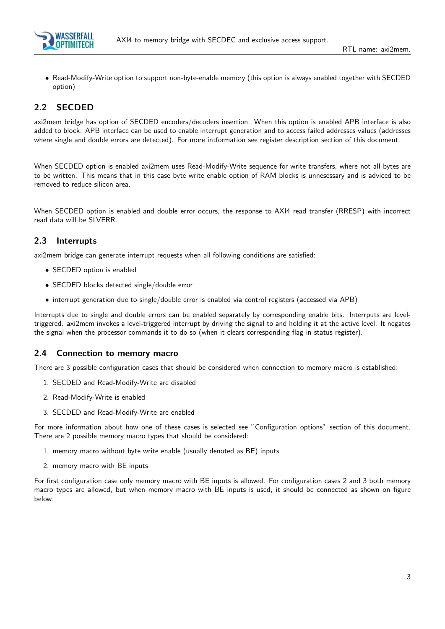

• Read-Modify-Write option to support non-byte-enable memory (this option is always enabled together with SECDED option)

#### <span id="page-3-0"></span>2.2 SECDED

axi2mem bridge has option of SECDED encoders/decoders insertion. When this option is enabled APB interface is also added to block. APB interface can be used to enable interrupt generation and to access failed addresses values (addresses where single and double errors are detected). For more intformation see register description section of this document.

When SECDED option is enabled axi2mem uses Read-Modify-Write sequence for write transfers, where not all bytes are to be written. This means that in this case byte write enable option of RAM blocks is unnesessary and is adviced to be removed to reduce silicon area.

When SECDED option is enabled and double error occurs, the response to AXI4 read transfer (RRESP) with incorrect read data will be SLVERR.

#### <span id="page-3-1"></span>2.3 Interrupts

axi2mem bridge can generate interrupt requests when all following conditions are satisfied:

- SECDED option is enabled
- SECDED blocks detected single/double error
- interrupt generation due to single/double error is enabled via control registers (accessed via APB)

Interrupts due to single and double errors can be enabled separately by corresponding enable bits. Interrputs are leveltriggered. axi2mem invokes a level-triggered interrupt by driving the signal to and holding it at the active level. It negates the signal when the processor commands it to do so (when it clears corresponding flag in status register).

#### <span id="page-3-2"></span>2.4 Connection to memory macro

There are 3 possible configuration cases that should be considered when connection to memory macro is established:

- 1. SECDED and Read-Modify-Write are disabled
- 2. Read-Modify-Write is enabled
- 3. SECDED and Read-Modify-Write are enabled

For more information about how one of these cases is selected see "Configuration options" section of this document. There are 2 possible memory macro types that should be considered:

- 1. memory macro without byte write enable (usually denoted as BE) inputs
- 2. memory macro with BE inputs

For first configuration case only memory macro with BE inputs is allowed. For configuration cases 2 and 3 both memory macro types are allowed, but when memory macro with BE inputs is used, it should be connected as shown on figure below.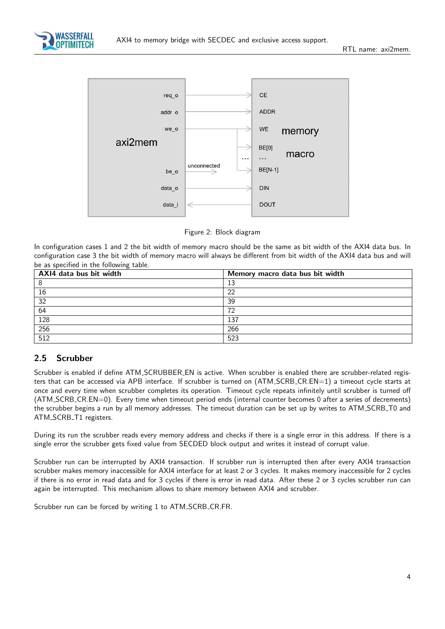



Figure 2: Block diagram

In configuration cases 1 and 2 the bit width of memory macro should be the same as bit width of the AXI4 data bus. In configuration case 3 the bit width of memory macro will always be different from bit width of the AXI4 data bus and will be as specified in the following table.

| AXI4 data bus bit width | Memory macro data bus bit width |
|-------------------------|---------------------------------|
|                         | 12<br>⊥ၪ                        |
| 16                      | 22                              |
| 32                      | 39                              |
| 64                      | 72                              |
| 128                     | 137                             |
| $\overline{256}$        | 266                             |
| $\overline{512}$        | 523                             |

#### <span id="page-4-0"></span>2.5 Scrubber

Scrubber is enabled if define ATM SCRUBBER EN is active. When scrubber is enabled there are scrubber-related registers that can be accessed via APB interface. If scrubber is turned on (ATM\_SCRB\_CR.EN=1) a timeout cycle starts at once and every time when scrubber completes its operation. Timeout cycle repeats infinitely until scrubber is turned off (ATM SCRB CR.EN=0). Every time when timeout period ends (internal counter becomes 0 after a series of decrements) the scrubber begins a run by all memory addresses. The timeout duration can be set up by writes to ATM SCRB T0 and ATM\_SCRB\_T1 registers.

During its run the scrubber reads every memory address and checks if there is a single error in this address. If there is a single error the scrubber gets fixed value from SECDED block output and writes it instead of corrupt value.

Scrubber run can be interrupted by AXI4 transaction. If scrubber run is interrupted then after every AXI4 transaction scrubber makes memory inaccessible for AXI4 interface for at least 2 or 3 cycles. It makes memory inaccessible for 2 cycles if there is no error in read data and for 3 cycles if there is error in read data. After these 2 or 3 cycles scrubber run can again be interrupted. This mechanism allows to share memory between AXI4 and scrubber.

Scrubber run can be forced by writing 1 to ATM\_SCRB\_CR.FR.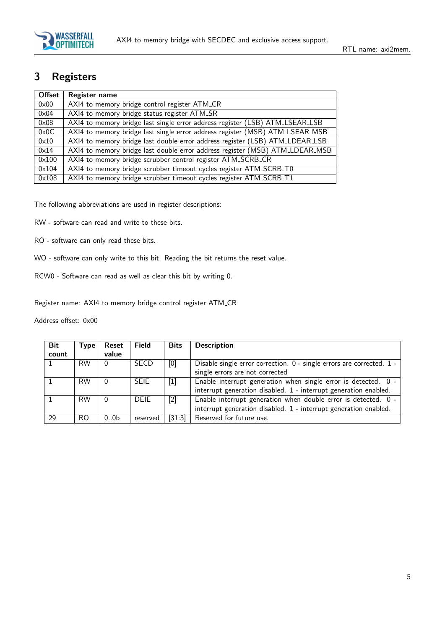

## <span id="page-5-0"></span>3 Registers

| <b>Offset</b>  | Register name                                                                |
|----------------|------------------------------------------------------------------------------|
| $0 \times 00$  | AXI4 to memory bridge control register ATM_CR                                |
| $0\times 04$   | AXI4 to memory bridge status register ATM_SR                                 |
| $0 \times 08$  | AXI4 to memory bridge last single error address register (LSB) ATM_LSEAR_LSB |
| $0 \times 0C$  | AXI4 to memory bridge last single error address register (MSB) ATM_LSEAR_MSB |
| $0\times10$    | AXI4 to memory bridge last double error address register (LSB) ATM_LDEAR_LSB |
| 0x14           | AXI4 to memory bridge last double error address register (MSB) ATM_LDEAR_MSB |
| $0 \times 100$ | AXI4 to memory bridge scrubber control register ATM_SCRB_CR                  |
| $0\times104$   | AXI4 to memory bridge scrubber timeout cycles register ATM_SCRB_T0           |
| $0 \times 108$ | AXI4 to memory bridge scrubber timeout cycles register ATM_SCRB_T1           |

The following abbreviations are used in register descriptions:

RW - software can read and write to these bits.

- RO software can only read these bits.
- WO software can only write to this bit. Reading the bit returns the reset value.
- RCW0 Software can read as well as clear this bit by writing 0.

Register name: AXI4 to memory bridge control register ATM CR

| <b>Bit</b> | Type      | Reset            | <b>Field</b> | <b>Bits</b>                                                                                                                                                                                                                                         | <b>Description</b>                                                    |
|------------|-----------|------------------|--------------|-----------------------------------------------------------------------------------------------------------------------------------------------------------------------------------------------------------------------------------------------------|-----------------------------------------------------------------------|
| count      |           | value            |              |                                                                                                                                                                                                                                                     |                                                                       |
|            | <b>RW</b> | 0                | <b>SECD</b>  | [0]                                                                                                                                                                                                                                                 | Disable single error correction. 0 - single errors are corrected. 1 - |
|            |           |                  |              |                                                                                                                                                                                                                                                     | single errors are not corrected                                       |
|            | <b>RW</b> | 0                | <b>SEIE</b>  | $[1] % \includegraphics[width=0.9\columnwidth]{figures/fig_10.pdf} \caption{The graph $\mathcal{N}_1$ is a function of the number of~\textit{N}_1$ (left) and the number of~\textit{N}_2$ (right) are shown in \cite{N}_1$ (right).} \label{fig:1}$ | Enable interrupt generation when single error is detected. 0 -        |
|            |           |                  |              |                                                                                                                                                                                                                                                     | interrupt generation disabled. 1 - interrupt generation enabled.      |
|            | <b>RW</b> | $\theta$         | <b>DEIE</b>  | $[2]$                                                                                                                                                                                                                                               | Enable interrupt generation when double error is detected. 0 -        |
|            |           |                  |              |                                                                                                                                                                                                                                                     | interrupt generation disabled. 1 - interrupt generation enabled.      |
| 29         | RO.       | 0.0 <sub>b</sub> | reserved     | [31:3]                                                                                                                                                                                                                                              | Reserved for future use.                                              |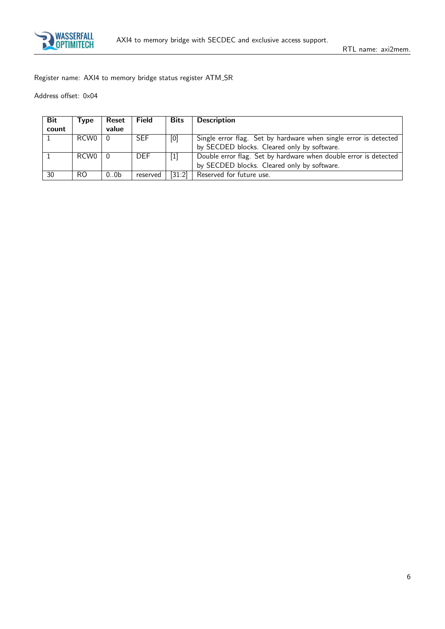

Register name: AXI4 to memory bridge status register ATM SR

| Bit   | Type | Reset            | <b>Field</b> | <b>Bits</b> | <b>Description</b>                                               |
|-------|------|------------------|--------------|-------------|------------------------------------------------------------------|
| count |      | value            |              |             |                                                                  |
|       | RCW0 |                  | <b>SEF</b>   | [0]         | Single error flag. Set by hardware when single error is detected |
|       |      |                  |              |             | by SECDED blocks. Cleared only by software.                      |
|       | RCW0 |                  | <b>DEF</b>   |             | Double error flag. Set by hardware when double error is detected |
|       |      |                  |              |             | by SECDED blocks. Cleared only by software.                      |
| 30    | RO   | 0.0 <sub>b</sub> | reserved     | [31:2]      | Reserved for future use.                                         |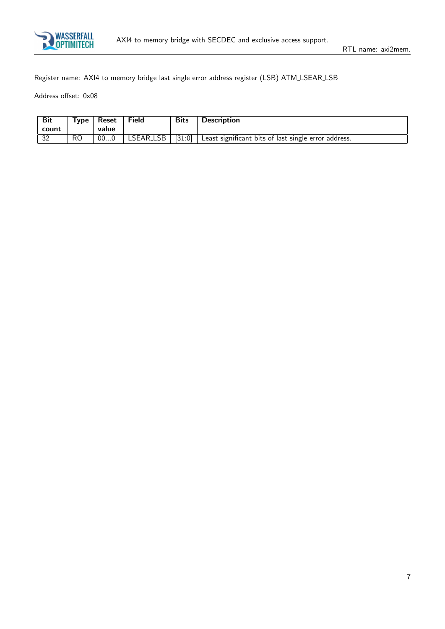

Register name: AXI4 to memory bridge last single error address register (LSB) ATM LSEAR LSB

| Bit<br>count      | $T$ vpe | Reset<br>value | Field     | <b>Bits</b> | <b>Description</b>                                   |
|-------------------|---------|----------------|-----------|-------------|------------------------------------------------------|
| $\sqrt{22}$<br>ےر | RO      | 000            | LSEAR_LSB | $[31:0]$    | Least significant bits of last single error address. |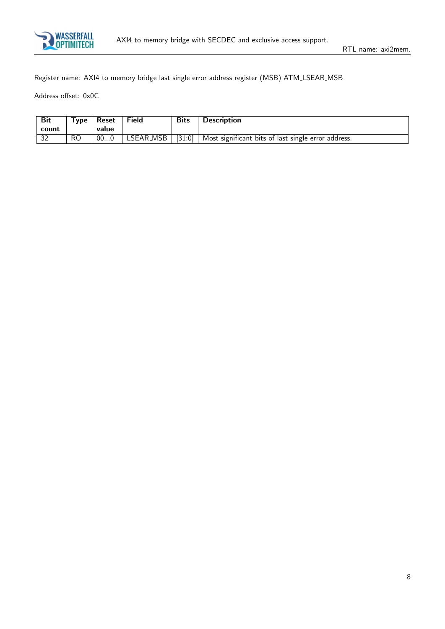

Register name: AXI4 to memory bridge last single error address register (MSB) ATM LSEAR MSB

| Bit<br>count | Type <sub>1</sub> | Reset<br>value | <b>Field</b> | <b>Bits</b> | <b>Description</b>                                                       |
|--------------|-------------------|----------------|--------------|-------------|--------------------------------------------------------------------------|
| 32           | RO                | 000            |              |             | LSEAR_MSB   [31:0]   Most significant bits of last single error address. |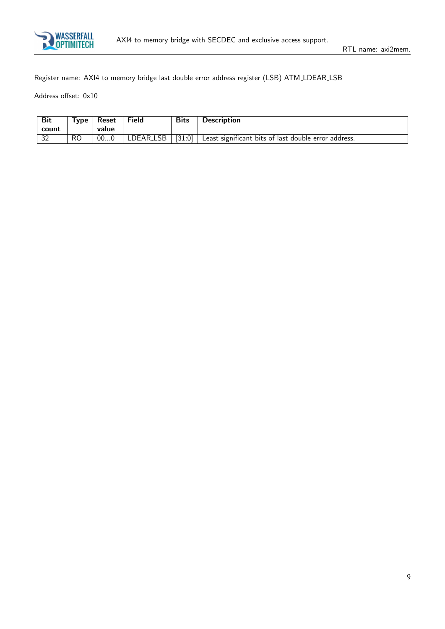

Register name: AXI4 to memory bridge last double error address register (LSB) ATM LDEAR LSB

| Bit<br>count | $T$ vpe | Reset<br>value | Field     | <b>Bits</b>                          | <b>Description</b>                                   |
|--------------|---------|----------------|-----------|--------------------------------------|------------------------------------------------------|
| 32           | RO      | 000            | LDEAR_LSB | $\left[31:0\right]$ $\left  \right.$ | Least significant bits of last double error address. |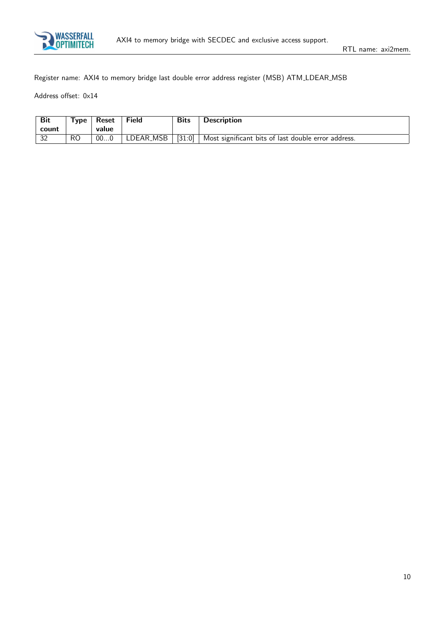

Register name: AXI4 to memory bridge last double error address register (MSB) ATM LDEAR MSB

| Bit<br>count | $T$ <sub>VDe</sub> | Reset<br>value | <b>Field</b> | <b>Bits</b> | <b>Description</b>                                  |
|--------------|--------------------|----------------|--------------|-------------|-----------------------------------------------------|
| 32           | RO                 | 000            | LDEAR_MSB    | [31:0]      | Most significant bits of last double error address. |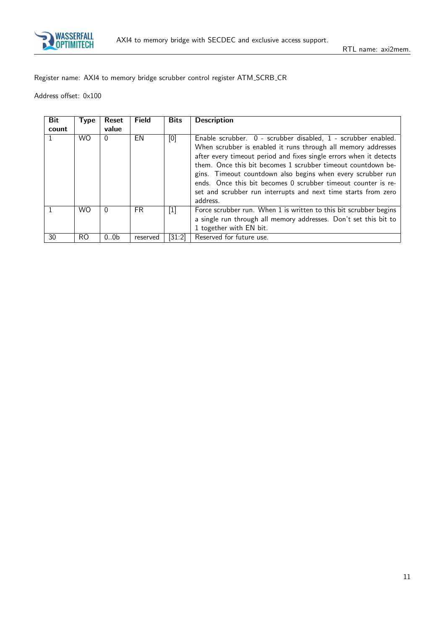

Register name: AXI4 to memory bridge scrubber control register ATM SCRB CR

| <b>Bit</b> | <b>Type</b> | Reset            | <b>Field</b> | <b>Bits</b>         | <b>Description</b>                                                                                                                                                                                                                                                                                                                                                                                                                                                                 |
|------------|-------------|------------------|--------------|---------------------|------------------------------------------------------------------------------------------------------------------------------------------------------------------------------------------------------------------------------------------------------------------------------------------------------------------------------------------------------------------------------------------------------------------------------------------------------------------------------------|
| count      |             | value            |              |                     |                                                                                                                                                                                                                                                                                                                                                                                                                                                                                    |
|            | <b>WO</b>   | $\Omega$         | EN           | [0]                 | Enable scrubber. 0 - scrubber disabled, 1 - scrubber enabled.<br>When scrubber is enabled it runs through all memory addresses<br>after every timeout period and fixes single errors when it detects<br>them. Once this bit becomes 1 scrubber timeout countdown be-<br>gins. Timeout countdown also begins when every scrubber run<br>ends. Once this bit becomes 0 scrubber timeout counter is re-<br>set and scrubber run interrupts and next time starts from zero<br>address. |
|            | <b>WO</b>   | $\Omega$         | FR.          | $[1]$               | Force scrubber run. When 1 is written to this bit scrubber begins<br>a single run through all memory addresses. Don't set this bit to<br>1 together with EN bit.                                                                                                                                                                                                                                                                                                                   |
| 30         | RO          | 0.0 <sub>b</sub> | reserved     | $\left[31:2\right]$ | Reserved for future use.                                                                                                                                                                                                                                                                                                                                                                                                                                                           |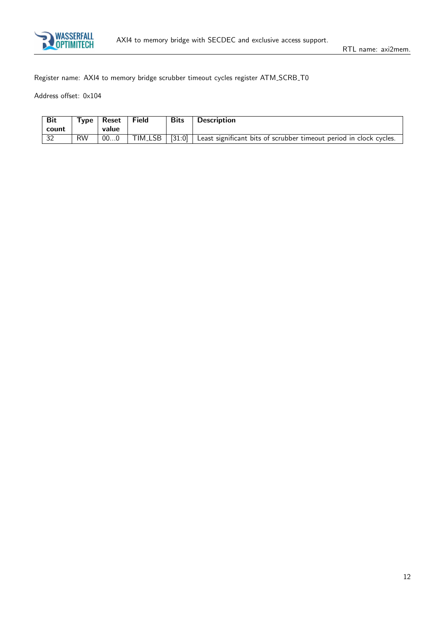

Register name: AXI4 to memory bridge scrubber timeout cycles register ATM SCRB T0

| <b>Bit</b> | Type,     | Reset | <b>Field</b>         | <b>Bits</b> | <b>Description</b>                                                 |
|------------|-----------|-------|----------------------|-------------|--------------------------------------------------------------------|
| count      |           | value |                      |             |                                                                    |
| $\vert$ 32 | <b>RW</b> | 000   | TIM <sub>-</sub> LSB | [31:0]      | Least significant bits of scrubber timeout period in clock cycles. |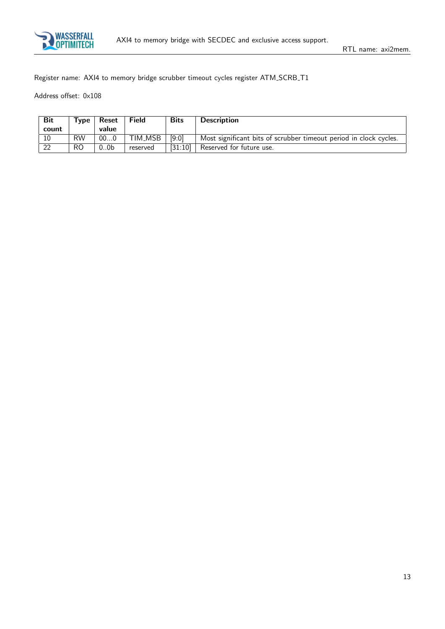

Register name: AXI4 to memory bridge scrubber timeout cycles register ATM SCRB T1

| <b>Bit</b> | $T$ <sub>VDe</sub> | Reset            | <b>Field</b>         | <b>Bits</b> | <b>Description</b>                                                |
|------------|--------------------|------------------|----------------------|-------------|-------------------------------------------------------------------|
| count      |                    | value            |                      |             |                                                                   |
| 10         | <b>RW</b>          | 000              | TIM <sub>-</sub> MSB | [9:0]       | Most significant bits of scrubber timeout period in clock cycles. |
| 22         | R <sub>O</sub>     | 0.0 <sub>b</sub> | reserved             | [31:10]     | Reserved for future use.                                          |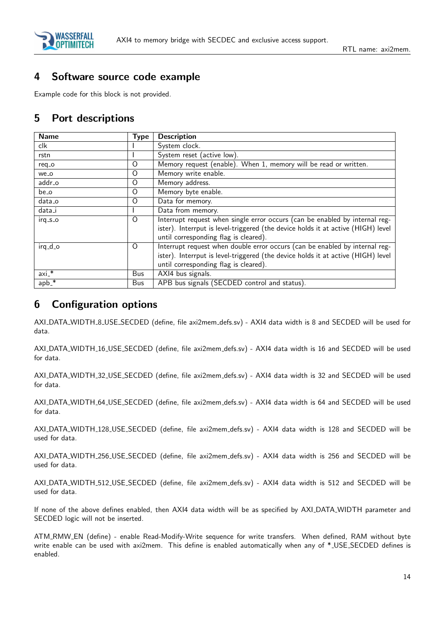

## <span id="page-14-0"></span>4 Software source code example

Example code for this block is not provided.

## <span id="page-14-1"></span>5 Port descriptions

| <b>Name</b> | <b>Type</b> | <b>Description</b>                                                               |
|-------------|-------------|----------------------------------------------------------------------------------|
| clk         |             | System clock.                                                                    |
| rstn        |             | System reset (active low).                                                       |
| req_o       | O           | Memory request (enable). When 1, memory will be read or written.                 |
| we_o        | O           | Memory write enable.                                                             |
| addr_o      | O           | Memory address.                                                                  |
| be_o        | O           | Memory byte enable.                                                              |
| data_o      | O           | Data for memory.                                                                 |
| data_i      |             | Data from memory.                                                                |
| $irq_s_0$   | $\Omega$    | Interrupt request when single error occurs (can be enabled by internal reg-      |
|             |             | ister). Interrput is level-triggered (the device holds it at active (HIGH) level |
|             |             | until corresponding flag is cleared).                                            |
| $irq_d$     | $\Omega$    | Interrupt request when double error occurs (can be enabled by internal reg-      |
|             |             | ister). Interrput is level-triggered (the device holds it at active (HIGH) level |
|             |             | until corresponding flag is cleared).                                            |
| $axi.*$     | <b>Bus</b>  | AXI4 bus signals.                                                                |
| $app.*$     | <b>Bus</b>  | APB bus signals (SECDED control and status).                                     |

## <span id="page-14-2"></span>6 Configuration options

AXI DATA WIDTH 8 USE SECDED (define, file axi2mem defs.sv) - AXI4 data width is 8 and SECDED will be used for data.

AXI DATA WIDTH 16 USE SECDED (define, file axi2mem defs.sv) - AXI4 data width is 16 and SECDED will be used for data.

AXI DATA WIDTH 32 USE SECDED (define, file axi2mem defs.sv) - AXI4 data width is 32 and SECDED will be used for data.

AXI DATA WIDTH 64 USE SECDED (define, file axi2mem defs.sv) - AXI4 data width is 64 and SECDED will be used for data.

AXI DATA WIDTH 128 USE SECDED (define, file axi2mem defs.sv) - AXI4 data width is 128 and SECDED will be used for data.

AXI DATA WIDTH 256 USE SECDED (define, file axi2mem defs.sv) - AXI4 data width is 256 and SECDED will be used for data.

AXI\_DATA\_WIDTH\_512\_USE\_SECDED (define, file axi2mem\_defs.sv) - AXI4 data width is 512 and SECDED will be used for data.

If none of the above defines enabled, then AXI4 data width will be as specified by AXI DATA WIDTH parameter and SECDED logic will not be inserted.

ATM RMW EN (define) - enable Read-Modify-Write sequence for write transfers. When defined, RAM without byte write enable can be used with axi2mem. This define is enabled automatically when any of \*\_USE\_SECDED defines is enabled.